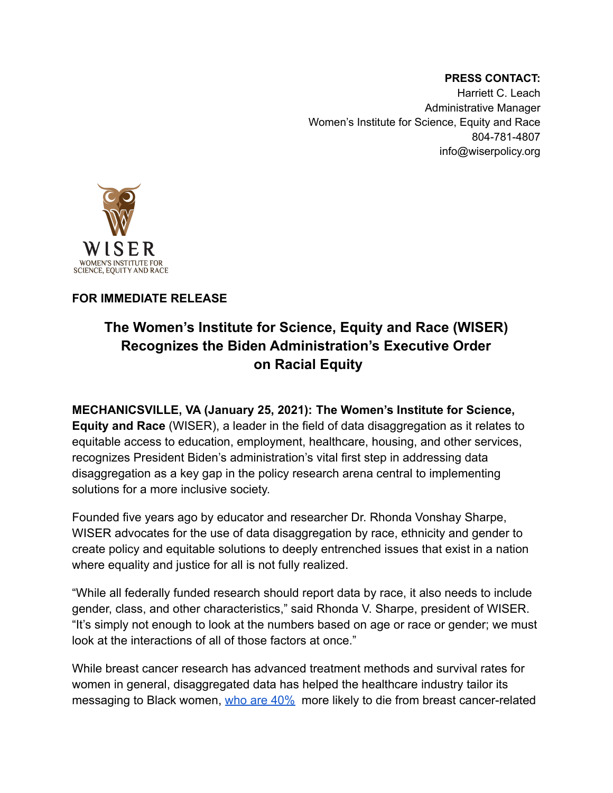**PRESS CONTACT:** Harriett C. Leach Administrative Manager Women's Institute for Science, Equity and Race 804-781-4807 info@wiserpolicy.org



## **FOR IMMEDIATE RELEASE**

## **The Women's Institute for Science, Equity and Race (WISER) Recognizes the Biden Administration's Executive Order on Racial Equity**

**MECHANICSVILLE, VA (January 25, 2021): The Women's Institute for Science, Equity and Race** (WISER), a leader in the field of data disaggregation as it relates to equitable access to education, employment, healthcare, housing, and other services, recognizes President Biden's administration's vital first step in addressing data disaggregation as a key gap in the policy research arena central to implementing solutions for a more inclusive society.

Founded five years ago by educator and researcher Dr. Rhonda Vonshay Sharpe, WISER advocates for the use of data disaggregation by race, ethnicity and gender to create policy and equitable solutions to deeply entrenched issues that exist in a nation where equality and justice for all is not fully realized.

"While all federally funded research should report data by race, it also needs to include gender, class, and other characteristics," said Rhonda V. Sharpe, president of WISER. "It's simply not enough to look at the numbers based on age or race or gender; we must look at the interactions of all of those factors at once."

While breast cancer research has advanced treatment methods and survival rates for women in general, disaggregated data has helped the healthcare industry tailor its messaging to Black women, [who are 40%](https://www.cdc.gov/mmwr/volumes/65/wr/mm6540a1.htm?CDC_AA_refVal=https%3A%2F%2Fwww.cdc.gov%2Fcancer%2Fdcpc%2Fresearch%2Farticles%2Fbreast_cancer_rates_women.htm) more likely to die from breast cancer-related